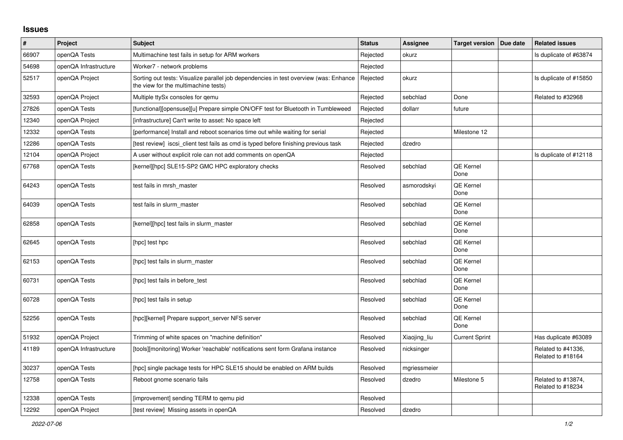## **Issues**

| $\pmb{\#}$ | Project               | <b>Subject</b>                                                                                                                | <b>Status</b> | Assignee     | <b>Target version</b>    | Due date | <b>Related issues</b>                   |
|------------|-----------------------|-------------------------------------------------------------------------------------------------------------------------------|---------------|--------------|--------------------------|----------|-----------------------------------------|
| 66907      | openQA Tests          | Multimachine test fails in setup for ARM workers                                                                              | Rejected      | okurz        |                          |          | Is duplicate of #63874                  |
| 54698      | openQA Infrastructure | Worker7 - network problems                                                                                                    | Rejected      |              |                          |          |                                         |
| 52517      | openQA Project        | Sorting out tests: Visualize parallel job dependencies in test overview (was: Enhance<br>the view for the multimachine tests) | Rejected      | okurz        |                          |          | Is duplicate of #15850                  |
| 32593      | openQA Project        | Multiple ttySx consoles for gemu                                                                                              | Rejected      | sebchlad     | Done                     |          | Related to #32968                       |
| 27826      | openQA Tests          | [functional][opensuse][u] Prepare simple ON/OFF test for Bluetooth in Tumbleweed                                              | Rejected      | dollarr      | future                   |          |                                         |
| 12340      | openQA Project        | [infrastructure] Can't write to asset: No space left                                                                          | Rejected      |              |                          |          |                                         |
| 12332      | openQA Tests          | [performance] Install and reboot scenarios time out while waiting for serial                                                  | Rejected      |              | Milestone 12             |          |                                         |
| 12286      | openQA Tests          | [test review] iscsi_client test fails as cmd is typed before finishing previous task                                          | Rejected      | dzedro       |                          |          |                                         |
| 12104      | openQA Project        | A user without explicit role can not add comments on openQA                                                                   | Rejected      |              |                          |          | Is duplicate of #12118                  |
| 67768      | openQA Tests          | [kernel][hpc] SLE15-SP2 GMC HPC exploratory checks                                                                            | Resolved      | sebchlad     | <b>QE Kernel</b><br>Done |          |                                         |
| 64243      | openQA Tests          | test fails in mrsh_master                                                                                                     | Resolved      | asmorodskyi  | QE Kernel<br>Done        |          |                                         |
| 64039      | openQA Tests          | test fails in slurm master                                                                                                    | Resolved      | sebchlad     | QE Kernel<br>Done        |          |                                         |
| 62858      | openQA Tests          | [kernel][hpc] test fails in slurm master                                                                                      | Resolved      | sebchlad     | QE Kernel<br>Done        |          |                                         |
| 62645      | openQA Tests          | [hpc] test hpc                                                                                                                | Resolved      | sebchlad     | <b>QE Kernel</b><br>Done |          |                                         |
| 62153      | openQA Tests          | [hpc] test fails in slurm master                                                                                              | Resolved      | sebchlad     | QE Kernel<br>Done        |          |                                         |
| 60731      | openQA Tests          | [hpc] test fails in before test                                                                                               | Resolved      | sebchlad     | QE Kernel<br>Done        |          |                                         |
| 60728      | openQA Tests          | [hpc] test fails in setup                                                                                                     | Resolved      | sebchlad     | QE Kernel<br>Done        |          |                                         |
| 52256      | openQA Tests          | [hpc][kernel] Prepare support server NFS server                                                                               | Resolved      | sebchlad     | QE Kernel<br>Done        |          |                                         |
| 51932      | openQA Project        | Trimming of white spaces on "machine definition"                                                                              | Resolved      | Xiaojing_liu | <b>Current Sprint</b>    |          | Has duplicate #63089                    |
| 41189      | openQA Infrastructure | [tools][monitoring] Worker 'reachable' notifications sent form Grafana instance                                               | Resolved      | nicksinger   |                          |          | Related to #41336,<br>Related to #18164 |
| 30237      | openQA Tests          | [hpc] single package tests for HPC SLE15 should be enabled on ARM builds                                                      | Resolved      | mgriessmeier |                          |          |                                         |
| 12758      | openQA Tests          | Reboot gnome scenario fails                                                                                                   | Resolved      | dzedro       | Milestone 5              |          | Related to #13874,<br>Related to #18234 |
| 12338      | openQA Tests          | [improvement] sending TERM to gemu pid                                                                                        | Resolved      |              |                          |          |                                         |
| 12292      | openQA Project        | [test review] Missing assets in openQA                                                                                        | Resolved      | dzedro       |                          |          |                                         |